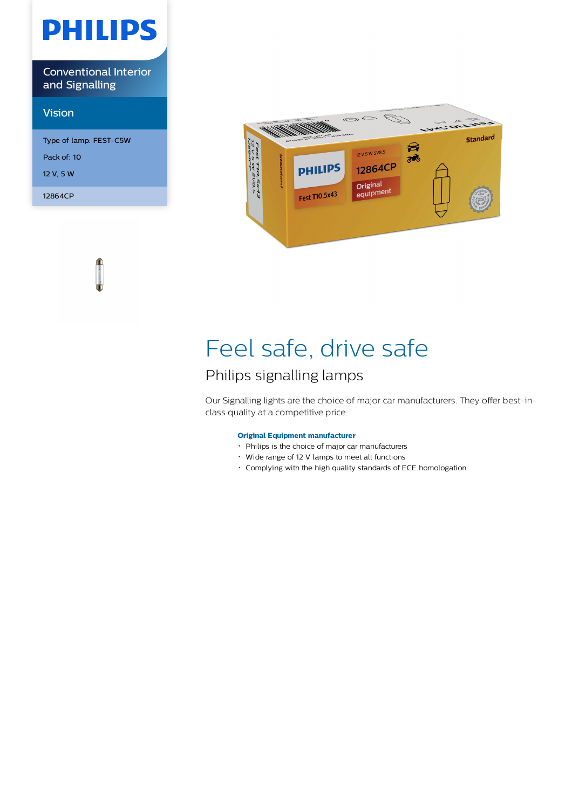# **PHILIPS**

Conventional Interior and Signalling

### Vision

Type of lamp: FEST-C5W Pack of: 10 12 V, 5 W 12864CP



## Feel safe, drive safe

### Philips signalling lamps

Our Signalling lights are the choice of major car manufacturers. They offer best-inclass quality at a competitive price.

### **Original Equipment manufacturer**

- Philips is the choice of major car manufacturers
- Wide range of 12 V lamps to meet all functions
- Complying with the high quality standards of ECE homologation